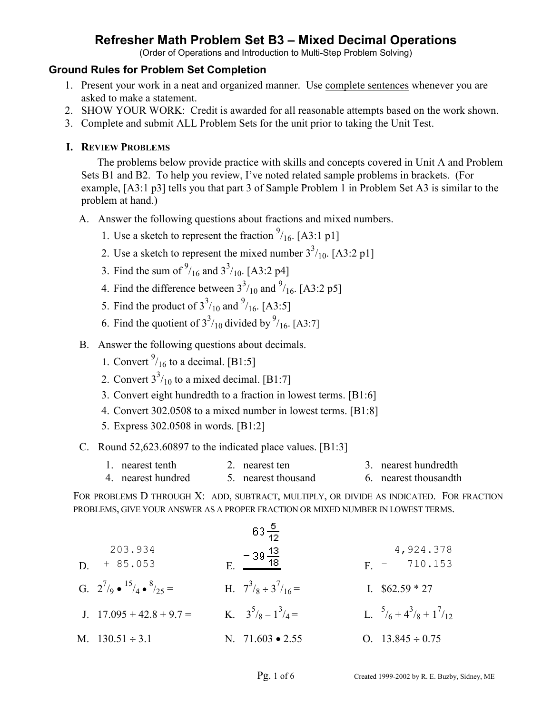(Order of Operations and Introduction to Multi-Step Problem Solving)

### **Ground Rules for Problem Set Completion**

- 1. Present your work in a neat and organized manner. Use complete sentences whenever you are asked to make a statement.
- 2. SHOW YOUR WORK: Credit is awarded for all reasonable attempts based on the work shown.
- 3. Complete and submit ALL Problem Sets for the unit prior to taking the Unit Test.

### **I. REVIEW PROBLEMS**

The problems below provide practice with skills and concepts covered in Unit A and Problem Sets B1 and B2. To help you review, I've noted related sample problems in brackets. (For example, [A3:1 p3] tells you that part 3 of Sample Problem 1 in Problem Set A3 is similar to the problem at hand.)

- A. Answer the following questions about fractions and mixed numbers.
	- 1. Use a sketch to represent the fraction  $\frac{9}{16}$ . [A3:1 p1]
	- 2. Use a sketch to represent the mixed number  $3^{3}/_{10}$ . [A3:2 p1]
	- 3. Find the sum of  $^{9}/_{16}$  and  $3^{3}/_{10}$ . [A3:2 p4]
	- 4. Find the difference between  $3^{3}/_{10}$  and  $^{9}/_{16}$ . [A3:2 p5]
	- 5. Find the product of  $3^{3}/_{10}$  and  $^{9}/_{16}$ . [A3:5]
	- 6. Find the quotient of  $3<sup>3</sup>/10$  divided by  $<sup>9</sup>/16$ . [A3:7]</sup>
- B. Answer the following questions about decimals.
	- 1. Convert  $\frac{9}{16}$  to a decimal. [B1:5]
	- 2. Convert  $3^3/10$  to a mixed decimal. [B1:7]
		- 3. Convert eight hundredth to a fraction in lowest terms. [B1:6]
		- 4. Convert 302.0508 to a mixed number in lowest terms. [B1:8]
		- 5. Express 302.0508 in words. [B1:2]
- C. Round 52,623.60897 to the indicated place values. [B1:3]
	- 1. nearest tenth 2. nearest ten 3. nearest hundredth
	- 4. nearest hundred 5. nearest thousand 6. nearest thousandth

FOR PROBLEMS D THROUGH X: ADD, SUBTRACT, MULTIPLY, OR DIVIDE AS INDICATED. FOR FRACTION PROBLEMS, GIVE YOUR ANSWER AS A PROPER FRACTION OR MIXED NUMBER IN LOWEST TERMS.

| \n $\begin{array}{r}\n 203.934 \\ D. & \frac{+85.053}{44 \cdot 8} \\ G. & 2^{7}/9 \cdot \frac{15}{4} \cdot \frac{8}{5} \cdot 7 \\ J. & 17.095 + 42.8 + 9.7 = 47.378 \\ H. & 7^{3}/8 \cdot 3^{7}/16 = 57.378 \\ H. & 3^{5}/8 - 1^{3}/4 = 57.378 \\ H. & 3^{5}/8 - 1^{3}/4 = 57.378 \\ H. & 3^{5}/8 - 1^{3}/4 = 57.378 \\ H. & 3^{5}/8 - 1^{3}/4 = 57.378 \\ H. & 3^{5}/8 - 1^{3}/4 = 57.378 \\ H. & 3^{5}/8 - 1^{3}/4 = 57.378 \\ H. & 3^{5}/8 - 1^{3}/4 = 57.378 \\ H. & 3^{5}/8 - 1^{3}/4 = 57.378 \\ H. & 3^{5}/8 - 1^{3}/4 = 57.378 \\ H. & 3^{5}/8 - 1^{3}/4 = 57.378 \\ H. & 3^{5}/8 - 1^{3}/4 = 57.378 \\ H. & 3^{5}/8 - 1^{3}/4 = 57.378 \\ H. & 3^{5}/8 - 1^{3}/4 = 57.378 \\ H. & 3^{5}/8 - 1^{3}/4 = 57.378 \\ H. & 3^{5}/8 - 1^{3}/4 = 57.378 \\ H. & 3^{5}/8 - 1^{3}/4 = 57.378 \\ H. & 3^{5}/8 - 1^{3}/4 = 57.378 \\ H. & 3^{5}/8 - 1^{3}/4 = 57.378 \\ H. & 3^{5}/8 - 1^{3}/4 = 57.378 \\ H. & 3^{5}/8 - 1^{3}/4 = 57.378 \\ H. & 3^{5}/8 - 1^{3}/4 = 57.378 \\ H. & 3^{5}/8 - 1^{3}/4 = 57.378 \\ H. & 3^{5}/8 - 1^{3}/4 =$ |
|--------------------------------------------------------------------------------------------------------------------------------------------------------------------------------------------------------------------------------------------------------------------------------------------------------------------------------------------------------------------------------------------------------------------------------------------------------------------------------------------------------------------------------------------------------------------------------------------------------------------------------------------------------------------------------------------------------------------------------------------------------------------------------------------------------------------------------------------------------------------------------------------------------------------------------------------------------------------------------------------------------------------------------------------|
|--------------------------------------------------------------------------------------------------------------------------------------------------------------------------------------------------------------------------------------------------------------------------------------------------------------------------------------------------------------------------------------------------------------------------------------------------------------------------------------------------------------------------------------------------------------------------------------------------------------------------------------------------------------------------------------------------------------------------------------------------------------------------------------------------------------------------------------------------------------------------------------------------------------------------------------------------------------------------------------------------------------------------------------------|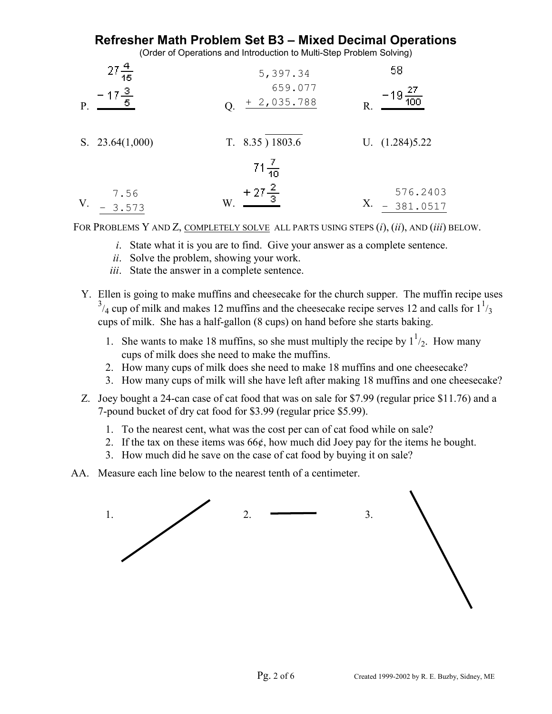(Order of Operations and Introduction to Multi-Step Problem Solving)

| 15                               | 5,397.34                      | 58                         |
|----------------------------------|-------------------------------|----------------------------|
| $-17\frac{3}{5}$<br>$\mathbf{P}$ | 659.077<br>$+2,035.788$<br>Q. | $\mathbb{R}$               |
| S. $23.64(1,000)$                | $T. 8.35$ ) 1803.6            | U. $(1.284)5.22$           |
|                                  | $71\frac{7}{10}$              |                            |
| 7.56<br>V.<br>3.573              | + $27\frac{2}{3}$<br>W        | 576.2403<br>Х.<br>381.0517 |

FOR PROBLEMS Y AND Z, COMPLETELY SOLVE ALL PARTS USING STEPS (*i*), (*ii*), AND (*iii*) BELOW.

- *i*. State what it is you are to find. Give your answer as a complete sentence.
- *ii*. Solve the problem, showing your work.
- *iii*. State the answer in a complete sentence.
- Y. Ellen is going to make muffins and cheesecake for the church supper. The muffin recipe uses  $3/4$  cup of milk and makes 12 muffins and the cheesecake recipe serves 12 and calls for  $1^{1}/3$ cups of milk. She has a half-gallon (8 cups) on hand before she starts baking.
	- 1. She wants to make 18 muffins, so she must multiply the recipe by  $1^{1/2}$ . How many cups of milk does she need to make the muffins.
		- 2. How many cups of milk does she need to make 18 muffins and one cheesecake?
		- 3. How many cups of milk will she have left after making 18 muffins and one cheesecake?
- Z. Joey bought a 24-can case of cat food that was on sale for \$7.99 (regular price \$11.76) and a 7-pound bucket of dry cat food for \$3.99 (regular price \$5.99).
	- 1. To the nearest cent, what was the cost per can of cat food while on sale?
	- 2. If the tax on these items was 66¢, how much did Joey pay for the items he bought.
	- 3. How much did he save on the case of cat food by buying it on sale?
- AA. Measure each line below to the nearest tenth of a centimeter.

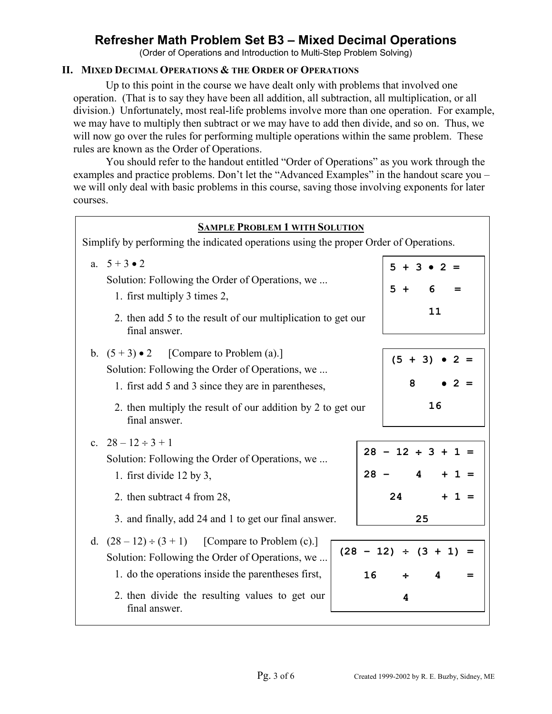(Order of Operations and Introduction to Multi-Step Problem Solving)

#### **II. MIXED DECIMAL OPERATIONS & THE ORDER OF OPERATIONS**

Up to this point in the course we have dealt only with problems that involved one operation. (That is to say they have been all addition, all subtraction, all multiplication, or all division.) Unfortunately, most real-life problems involve more than one operation. For example, we may have to multiply then subtract or we may have to add then divide, and so on. Thus, we will now go over the rules for performing multiple operations within the same problem. These rules are known as the Order of Operations.

You should refer to the handout entitled "Order of Operations" as you work through the examples and practice problems. Don't let the "Advanced Examples" in the handout scare you – we will only deal with basic problems in this course, saving those involving exponents for later courses.

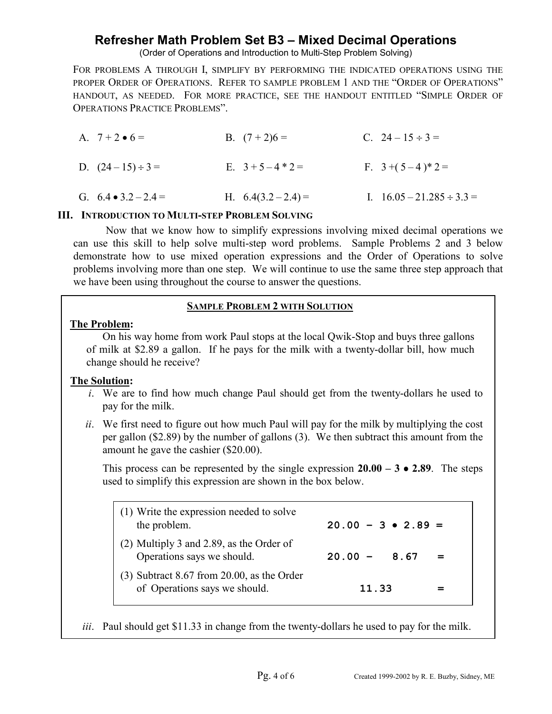(Order of Operations and Introduction to Multi-Step Problem Solving)

FOR PROBLEMS A THROUGH I, SIMPLIFY BY PERFORMING THE INDICATED OPERATIONS USING THE PROPER ORDER OF OPERATIONS. REFER TO SAMPLE PROBLEM 1 AND THE "ORDER OF OPERATIONS" HANDOUT, AS NEEDED. FOR MORE PRACTICE, SEE THE HANDOUT ENTITLED "SIMPLE ORDER OF OPERATIONS PRACTICE PROBLEMS".

| A. $7 + 2 \cdot 6 =$       | B. $(7+2)6=$      | C. $24-15 \div 3=$             |
|----------------------------|-------------------|--------------------------------|
| D. $(24-15) \div 3 =$      | E. $3+5-4*2=$     | F. $3+(5-4)*2=$                |
| G. $6.4 \cdot 3.2 - 2.4 =$ | H. $6.4(3.2-2.4)$ | I. $16.05 - 21.285 \div 3.3 =$ |

#### **III. INTRODUCTION TO MULTI-STEP PROBLEM SOLVING**

Now that we know how to simplify expressions involving mixed decimal operations we can use this skill to help solve multi-step word problems. Sample Problems 2 and 3 below demonstrate how to use mixed operation expressions and the Order of Operations to solve problems involving more than one step. We will continue to use the same three step approach that we have been using throughout the course to answer the questions.

#### **SAMPLE PROBLEM 2 WITH SOLUTION**

#### **The Problem:**

On his way home from work Paul stops at the local Qwik-Stop and buys three gallons of milk at \$2.89 a gallon. If he pays for the milk with a twenty-dollar bill, how much change should he receive?

#### **The Solution:**

- *i*. We are to find how much change Paul should get from the twenty-dollars he used to pay for the milk.
- *ii*. We first need to figure out how much Paul will pay for the milk by multiplying the cost per gallon (\$2.89) by the number of gallons (3). We then subtract this amount from the amount he gave the cashier (\$20.00).

This process can be represented by the single expression  $20.00 - 3 \cdot 2.89$ . The steps used to simplify this expression are shown in the box below.

| (1) Write the expression needed to solve<br>the problem.                      | $20.00 - 3 \cdot 2.89 =$ |
|-------------------------------------------------------------------------------|--------------------------|
| $(2)$ Multiply 3 and 2.89, as the Order of<br>Operations says we should.      | $20.00 - 8.67$           |
| $(3)$ Subtract 8.67 from 20.00, as the Order<br>of Operations says we should. | 11.33                    |

*iii*. Paul should get \$11.33 in change from the twenty-dollars he used to pay for the milk.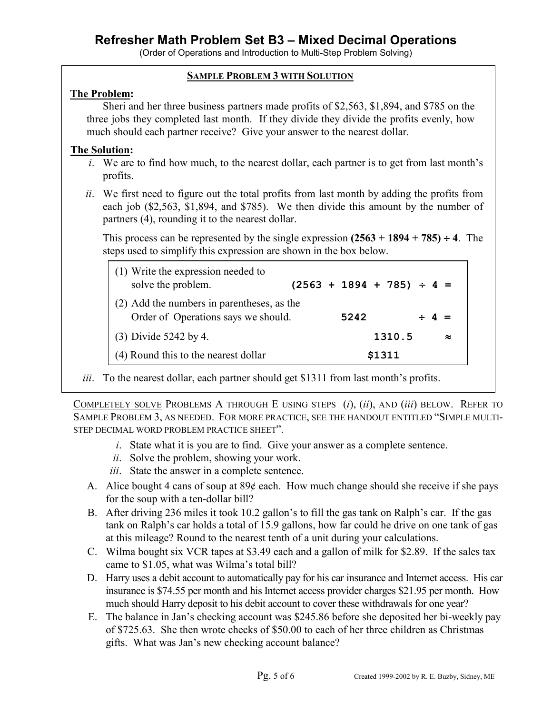(Order of Operations and Introduction to Multi-Step Problem Solving)

#### **SAMPLE PROBLEM 3 WITH SOLUTION**

#### **The Problem:**

Sheri and her three business partners made profits of \$2,563, \$1,894, and \$785 on the three jobs they completed last month. If they divide they divide the profits evenly, how much should each partner receive? Give your answer to the nearest dollar.

#### **The Solution:**

- *i*. We are to find how much, to the nearest dollar, each partner is to get from last month's profits.
- *ii*. We first need to figure out the total profits from last month by adding the profits from each job (\$2,563, \$1,894, and \$785). We then divide this amount by the number of partners (4), rounding it to the nearest dollar.

This process can be represented by the single expression  $(2563 + 1894 + 785) \div 4$ . The steps used to simplify this expression are shown in the box below.

| (1) Write the expression needed to<br>solve the problem.                          | $(2563 + 1894 + 785) \div 4 =$ |  |            |        |  |           |
|-----------------------------------------------------------------------------------|--------------------------------|--|------------|--------|--|-----------|
| (2) Add the numbers in parentheses, as the<br>Order of Operations says we should. | 5242                           |  | $\div$ 4 = |        |  |           |
| (3) Divide 5242 by 4.                                                             |                                |  |            | 1310.5 |  | $\approx$ |
| (4) Round this to the nearest dollar                                              |                                |  |            | \$1311 |  |           |

*iii*. To the nearest dollar, each partner should get \$1311 from last month's profits.

COMPLETELY SOLVE PROBLEMS A THROUGH E USING STEPS (*i*), (*ii*), AND (*iii*) BELOW. REFER TO SAMPLE PROBLEM 3, AS NEEDED. FOR MORE PRACTICE, SEE THE HANDOUT ENTITLED "SIMPLE MULTI-STEP DECIMAL WORD PROBLEM PRACTICE SHEET".

- *i*. State what it is you are to find. Give your answer as a complete sentence.
- *ii*. Solve the problem, showing your work.
- *iii*. State the answer in a complete sentence.
- A. Alice bought 4 cans of soup at  $89¢$  each. How much change should she receive if she pays for the soup with a ten-dollar bill?
- B. After driving 236 miles it took 10.2 gallon's to fill the gas tank on Ralph's car. If the gas tank on Ralph's car holds a total of 15.9 gallons, how far could he drive on one tank of gas at this mileage? Round to the nearest tenth of a unit during your calculations.
- C. Wilma bought six VCR tapes at \$3.49 each and a gallon of milk for \$2.89. If the sales tax came to \$1.05, what was Wilma's total bill?
- D. Harry uses a debit account to automatically pay for his car insurance and Internet access. His car insurance is \$74.55 per month and his Internet access provider charges \$21.95 per month. How much should Harry deposit to his debit account to cover these withdrawals for one year?
- E. The balance in Jan's checking account was \$245.86 before she deposited her bi-weekly pay of \$725.63. She then wrote checks of \$50.00 to each of her three children as Christmas gifts. What was Jan's new checking account balance?